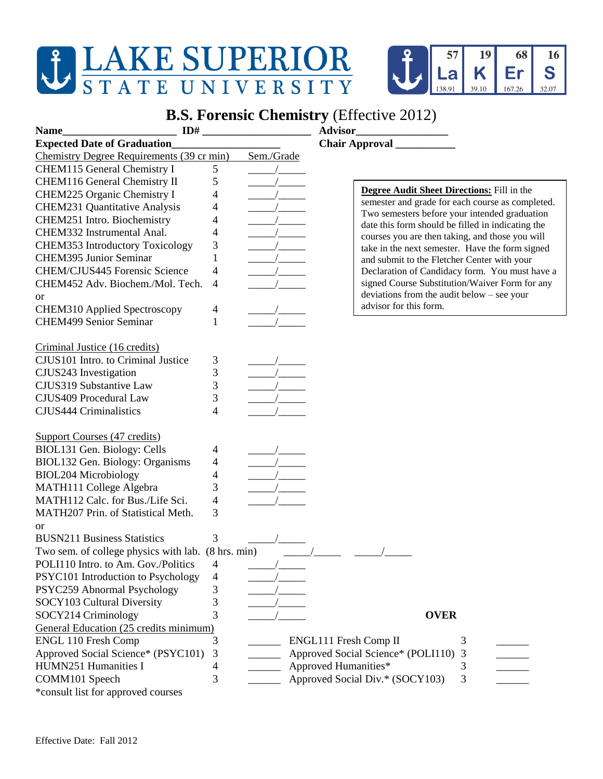## **JEAKE SUPERIOR STATE UNIVERSITY**



## **B.S. Forensic Chemistry** (Effective 2012)

| ID#<br><b>Name</b>                                          |   |            |                                                                                                      |
|-------------------------------------------------------------|---|------------|------------------------------------------------------------------------------------------------------|
| <b>Expected Date of Graduation</b>                          |   |            |                                                                                                      |
| Chemistry Degree Requirements (39 cr min)                   |   | Sem./Grade |                                                                                                      |
| CHEM115 General Chemistry I                                 | 5 |            |                                                                                                      |
| CHEM116 General Chemistry II                                | 5 |            |                                                                                                      |
| CHEM225 Organic Chemistry I                                 | 4 |            | <b>Degree Audit Sheet Directions:</b> Fill in the                                                    |
| <b>CHEM231 Quantitative Analysis</b>                        | 4 |            | semester and grade for each course as completed.                                                     |
| CHEM251 Intro. Biochemistry                                 | 4 |            | Two semesters before your intended graduation                                                        |
| CHEM332 Instrumental Anal.                                  | 4 |            | date this form should be filled in indicating the<br>courses you are then taking, and those you will |
| <b>CHEM353 Introductory Toxicology</b>                      | 3 |            | take in the next semester. Have the form signed                                                      |
| <b>CHEM395 Junior Seminar</b>                               | 1 |            | and submit to the Fletcher Center with your                                                          |
| CHEM/CJUS445 Forensic Science                               | 4 |            | Declaration of Candidacy form. You must have a                                                       |
| CHEM452 Adv. Biochem./Mol. Tech.                            | 4 |            | signed Course Substitution/Waiver Form for any                                                       |
| <sub>or</sub>                                               |   |            | deviations from the audit below – see your                                                           |
| CHEM310 Applied Spectroscopy                                | 4 |            | advisor for this form.                                                                               |
| <b>CHEM499 Senior Seminar</b>                               |   |            |                                                                                                      |
|                                                             |   |            |                                                                                                      |
| Criminal Justice (16 credits)                               |   |            |                                                                                                      |
| CJUS101 Intro. to Criminal Justice                          | 3 |            |                                                                                                      |
| CJUS243 Investigation                                       | 3 |            |                                                                                                      |
| CJUS319 Substantive Law                                     | 3 |            |                                                                                                      |
| CJUS409 Procedural Law                                      | 3 |            |                                                                                                      |
| <b>CJUS444 Criminalistics</b>                               | 4 |            |                                                                                                      |
|                                                             |   |            |                                                                                                      |
| Support Courses (47 credits)                                |   |            |                                                                                                      |
| BIOL131 Gen. Biology: Cells                                 |   |            |                                                                                                      |
| BIOL132 Gen. Biology: Organisms                             | 4 |            |                                                                                                      |
|                                                             | 4 |            |                                                                                                      |
| <b>BIOL204 Microbiology</b>                                 | 4 |            |                                                                                                      |
| MATH111 College Algebra<br>MATH112 Calc. for Bus./Life Sci. | 3 |            |                                                                                                      |
|                                                             | 4 |            |                                                                                                      |
| MATH207 Prin. of Statistical Meth.                          | 3 |            |                                                                                                      |
| <sub>or</sub>                                               |   |            |                                                                                                      |
| <b>BUSN211 Business Statistics</b>                          | 3 |            |                                                                                                      |
| Two sem. of college physics with lab. (8 hrs. min)          |   |            |                                                                                                      |
| POLI110 Intro. to Am. Gov./Politics 4                       |   |            |                                                                                                      |
| PSYC101 Introduction to Psychology                          | 4 |            |                                                                                                      |
| PSYC259 Abnormal Psychology                                 | 3 |            |                                                                                                      |
| SOCY103 Cultural Diversity                                  | 3 |            |                                                                                                      |
| SOCY214 Criminology                                         | 3 |            | <b>OVER</b>                                                                                          |
| General Education (25 credits minimum)                      |   |            |                                                                                                      |
| <b>ENGL 110 Fresh Comp</b>                                  | 3 |            | ENGL111 Fresh Comp II<br>3                                                                           |
| Approved Social Science* (PSYC101)                          | 3 |            | Approved Social Science* (POLI110) 3                                                                 |
| HUMN251 Humanities I                                        | 4 |            | Approved Humanities*<br>3                                                                            |
| COMM101 Speech                                              | 3 |            | Approved Social Div.* (SOCY103)<br>3                                                                 |
| *consult list for approved courses                          |   |            |                                                                                                      |